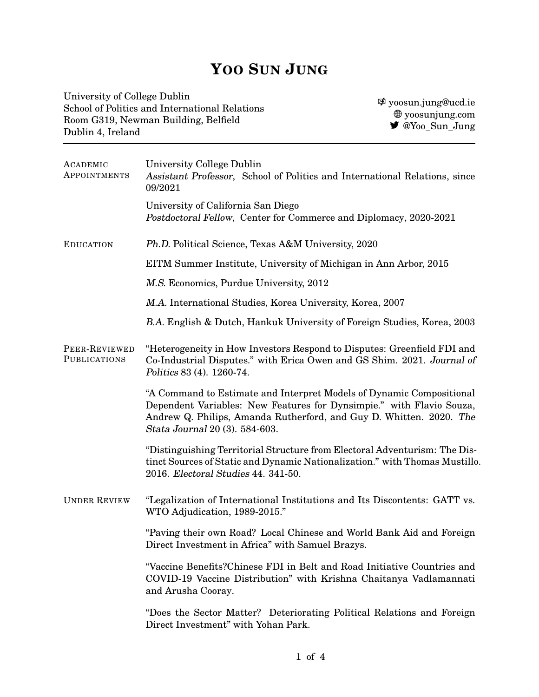## **YOO SUN JUNG**

University of College Dublin School of Politics and International Relations Room G319, Newman Building, Belfield Dublin 4, Ireland

k [yoosun.jung@ucd.ie](mailto:yoosun.jung@ucd.ie) [yoosunjung.com](https://www.yoosunjung.com/)  $\bullet$  [@Yoo](https://twitter.com/Yoo_Sun_Jung)\_Sun\_Jung

| ACADEMIC<br>APPOINTMENTS             | University College Dublin<br>Assistant Professor, School of Politics and International Relations, since<br>09/2021                                                                                                                                    |  |
|--------------------------------------|-------------------------------------------------------------------------------------------------------------------------------------------------------------------------------------------------------------------------------------------------------|--|
|                                      | University of California San Diego<br>Postdoctoral Fellow, Center for Commerce and Diplomacy, 2020-2021                                                                                                                                               |  |
| <b>EDUCATION</b>                     | Ph.D. Political Science, Texas A&M University, 2020                                                                                                                                                                                                   |  |
|                                      | EITM Summer Institute, University of Michigan in Ann Arbor, 2015                                                                                                                                                                                      |  |
|                                      | M.S. Economics, Purdue University, 2012                                                                                                                                                                                                               |  |
|                                      | M.A. International Studies, Korea University, Korea, 2007                                                                                                                                                                                             |  |
|                                      | B.A. English & Dutch, Hankuk University of Foreign Studies, Korea, 2003                                                                                                                                                                               |  |
| PEER-REVIEWED<br><b>PUBLICATIONS</b> | "Heterogeneity in How Investors Respond to Disputes: Greenfield FDI and<br>Co-Industrial Disputes." with Erica Owen and GS Shim. 2021. Journal of<br>Politics 83 (4). 1260-74.                                                                        |  |
|                                      | "A Command to Estimate and Interpret Models of Dynamic Compositional<br>Dependent Variables: New Features for Dynsimpie." with Flavio Souza,<br>Andrew Q. Philips, Amanda Rutherford, and Guy D. Whitten. 2020. The<br>Stata Journal 20 (3). 584-603. |  |
|                                      | "Distinguishing Territorial Structure from Electoral Adventurism: The Dis-<br>tinct Sources of Static and Dynamic Nationalization." with Thomas Mustillo.<br>2016. Electoral Studies 44. 341-50.                                                      |  |
| <b>UNDER REVIEW</b>                  | "Legalization of International Institutions and Its Discontents: GATT vs.<br>WTO Adjudication, 1989-2015."                                                                                                                                            |  |
|                                      | "Paving their own Road? Local Chinese and World Bank Aid and Foreign<br>Direct Investment in Africa" with Samuel Brazys.                                                                                                                              |  |
|                                      | "Vaccine Benefits?Chinese FDI in Belt and Road Initiative Countries and<br>COVID-19 Vaccine Distribution" with Krishna Chaitanya Vadlamannati<br>and Arusha Cooray.                                                                                   |  |
|                                      | "Does the Sector Matter? Deteriorating Political Relations and Foreign<br>Direct Investment" with Yohan Park.                                                                                                                                         |  |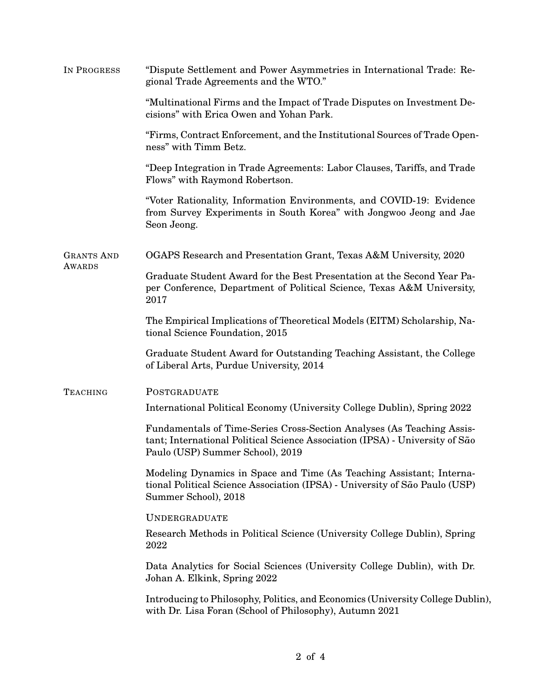| IN PROGRESS                        | "Dispute Settlement and Power Asymmetries in International Trade: Re-<br>gional Trade Agreements and the WTO."                                                                             |  |  |
|------------------------------------|--------------------------------------------------------------------------------------------------------------------------------------------------------------------------------------------|--|--|
|                                    | "Multinational Firms and the Impact of Trade Disputes on Investment De-<br>cisions" with Erica Owen and Yohan Park.                                                                        |  |  |
|                                    | "Firms, Contract Enforcement, and the Institutional Sources of Trade Open-<br>ness" with Timm Betz.                                                                                        |  |  |
|                                    | "Deep Integration in Trade Agreements: Labor Clauses, Tariffs, and Trade<br>Flows" with Raymond Robertson.                                                                                 |  |  |
|                                    | "Voter Rationality, Information Environments, and COVID-19: Evidence<br>from Survey Experiments in South Korea" with Jongwoo Jeong and Jae<br>Seon Jeong.                                  |  |  |
| <b>GRANTS AND</b><br><b>AWARDS</b> | OGAPS Research and Presentation Grant, Texas A&M University, 2020                                                                                                                          |  |  |
|                                    | Graduate Student Award for the Best Presentation at the Second Year Pa-<br>per Conference, Department of Political Science, Texas A&M University,<br>2017                                  |  |  |
|                                    | The Empirical Implications of Theoretical Models (EITM) Scholarship, Na-<br>tional Science Foundation, 2015                                                                                |  |  |
|                                    | Graduate Student Award for Outstanding Teaching Assistant, the College<br>of Liberal Arts, Purdue University, 2014                                                                         |  |  |
| <b>TEACHING</b>                    | POSTGRADUATE                                                                                                                                                                               |  |  |
|                                    | International Political Economy (University College Dublin), Spring 2022                                                                                                                   |  |  |
|                                    | Fundamentals of Time-Series Cross-Section Analyses (As Teaching Assis-<br>tant; International Political Science Association (IPSA) - University of São<br>Paulo (USP) Summer School), 2019 |  |  |
|                                    | Modeling Dynamics in Space and Time (As Teaching Assistant; Interna-<br>tional Political Science Association (IPSA) - University of São Paulo (USP)<br>Summer School), 2018                |  |  |
|                                    | <b>UNDERGRADUATE</b>                                                                                                                                                                       |  |  |
|                                    | Research Methods in Political Science (University College Dublin), Spring<br>2022                                                                                                          |  |  |
|                                    | Data Analytics for Social Sciences (University College Dublin), with Dr.<br>Johan A. Elkink, Spring 2022                                                                                   |  |  |
|                                    | Introducing to Philosophy, Politics, and Economics (University College Dublin),<br>with Dr. Lisa Foran (School of Philosophy), Autumn 2021                                                 |  |  |
|                                    |                                                                                                                                                                                            |  |  |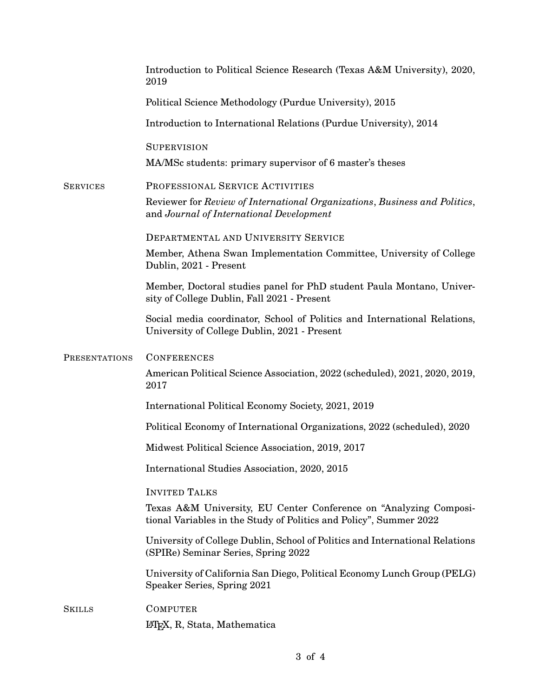|                 | Introduction to Political Science Research (Texas A&M University), 2020,<br>2019                                                        |
|-----------------|-----------------------------------------------------------------------------------------------------------------------------------------|
|                 | Political Science Methodology (Purdue University), 2015                                                                                 |
|                 | Introduction to International Relations (Purdue University), 2014                                                                       |
|                 | <b>SUPERVISION</b><br>MA/MSc students: primary supervisor of 6 master's theses                                                          |
| <b>SERVICES</b> | PROFESSIONAL SERVICE ACTIVITIES                                                                                                         |
|                 | Reviewer for Review of International Organizations, Business and Politics,<br>and Journal of International Development                  |
|                 | DEPARTMENTAL AND UNIVERSITY SERVICE                                                                                                     |
|                 | Member, Athena Swan Implementation Committee, University of College<br>Dublin, 2021 - Present                                           |
|                 | Member, Doctoral studies panel for PhD student Paula Montano, Univer-<br>sity of College Dublin, Fall 2021 - Present                    |
|                 | Social media coordinator, School of Politics and International Relations,<br>University of College Dublin, 2021 - Present               |
| PRESENTATIONS   | <b>CONFERENCES</b>                                                                                                                      |
|                 | American Political Science Association, 2022 (scheduled), 2021, 2020, 2019,<br>2017                                                     |
|                 | International Political Economy Society, 2021, 2019                                                                                     |
|                 | Political Economy of International Organizations, 2022 (scheduled), 2020                                                                |
|                 | Midwest Political Science Association, 2019, 2017                                                                                       |
|                 | International Studies Association, 2020, 2015                                                                                           |
|                 | <b>INVITED TALKS</b>                                                                                                                    |
|                 | Texas A&M University, EU Center Conference on "Analyzing Composi-<br>tional Variables in the Study of Politics and Policy", Summer 2022 |
|                 | University of College Dublin, School of Politics and International Relations<br>(SPIRe) Seminar Series, Spring 2022                     |
|                 | University of California San Diego, Political Economy Lunch Group (PELG)<br>Speaker Series, Spring 2021                                 |
| Skills          | <b>COMPUTER</b>                                                                                                                         |
|                 | LATEX, R, Stata, Mathematica                                                                                                            |